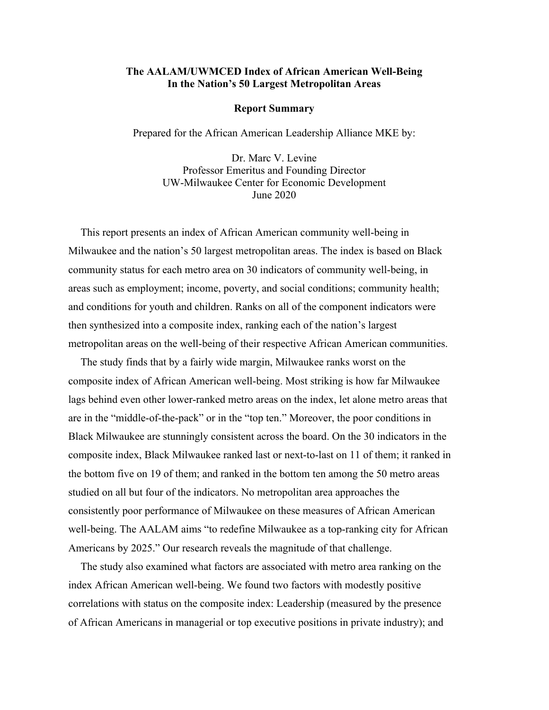## **The AALAM/UWMCED Index of African American Well-Being In the Nation's 50 Largest Metropolitan Areas**

## **Report Summary**

Prepared for the African American Leadership Alliance MKE by:

Dr. Marc V. Levine Professor Emeritus and Founding Director UW-Milwaukee Center for Economic Development June 2020

This report presents an index of African American community well-being in Milwaukee and the nation's 50 largest metropolitan areas. The index is based on Black community status for each metro area on 30 indicators of community well-being, in areas such as employment; income, poverty, and social conditions; community health; and conditions for youth and children. Ranks on all of the component indicators were then synthesized into a composite index, ranking each of the nation's largest metropolitan areas on the well-being of their respective African American communities.

The study finds that by a fairly wide margin, Milwaukee ranks worst on the composite index of African American well-being. Most striking is how far Milwaukee lags behind even other lower-ranked metro areas on the index, let alone metro areas that are in the "middle-of-the-pack" or in the "top ten." Moreover, the poor conditions in Black Milwaukee are stunningly consistent across the board. On the 30 indicators in the composite index, Black Milwaukee ranked last or next-to-last on 11 of them; it ranked in the bottom five on 19 of them; and ranked in the bottom ten among the 50 metro areas studied on all but four of the indicators. No metropolitan area approaches the consistently poor performance of Milwaukee on these measures of African American well-being. The AALAM aims "to redefine Milwaukee as a top-ranking city for African Americans by 2025." Our research reveals the magnitude of that challenge.

The study also examined what factors are associated with metro area ranking on the index African American well-being. We found two factors with modestly positive correlations with status on the composite index: Leadership (measured by the presence of African Americans in managerial or top executive positions in private industry); and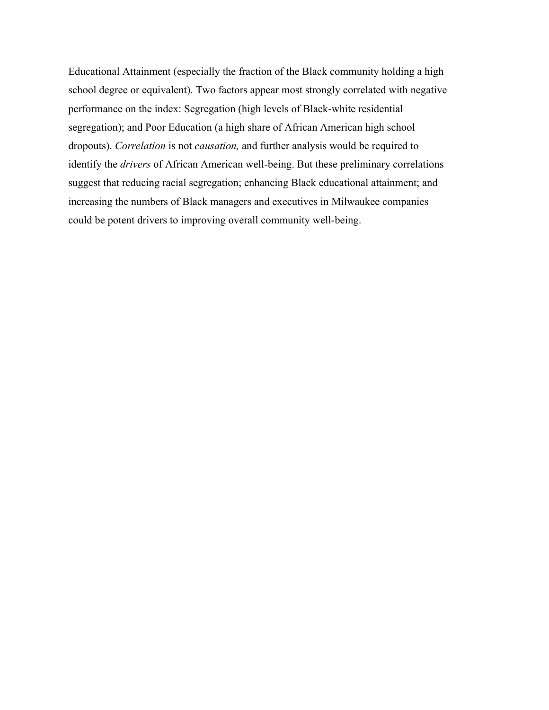Educational Attainment (especially the fraction of the Black community holding a high school degree or equivalent). Two factors appear most strongly correlated with negative performance on the index: Segregation (high levels of Black-white residential segregation); and Poor Education (a high share of African American high school dropouts). *Correlation* is not *causation,* and further analysis would be required to identify the *drivers* of African American well-being. But these preliminary correlations suggest that reducing racial segregation; enhancing Black educational attainment; and increasing the numbers of Black managers and executives in Milwaukee companies could be potent drivers to improving overall community well-being.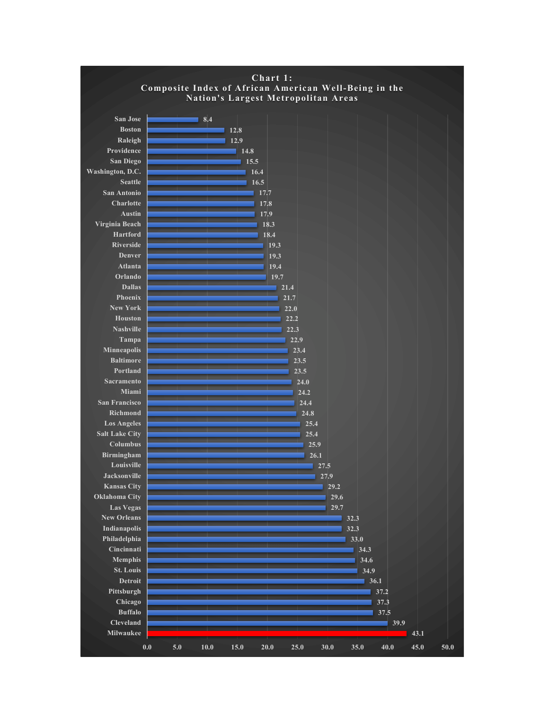